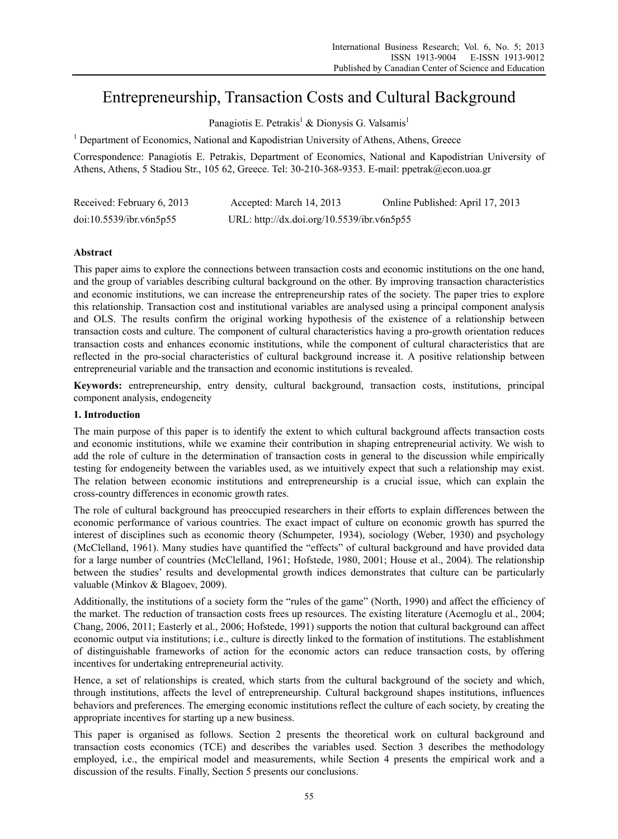# Entrepreneurship, Transaction Costs and Cultural Background

Panagiotis E. Petrakis<sup>1</sup> & Dionysis G. Valsamis<sup>1</sup>

<sup>1</sup> Department of Economics, National and Kapodistrian University of Athens, Athens, Greece

Correspondence: Panagiotis E. Petrakis, Department of Economics, National and Kapodistrian University of Athens, Athens, 5 Stadiou Str., 105 62, Greece. Tel: 30-210-368-9353. E-mail: ppetrak@econ.uoa.gr

| Received: February 6, 2013 | Accepted: March 14, 2013                   | Online Published: April 17, 2013 |
|----------------------------|--------------------------------------------|----------------------------------|
| doi:10.5539/ibr.v6n5p55    | URL: http://dx.doi.org/10.5539/ibr.v6n5p55 |                                  |

# **Abstract**

This paper aims to explore the connections between transaction costs and economic institutions on the one hand, and the group of variables describing cultural background on the other. By improving transaction characteristics and economic institutions, we can increase the entrepreneurship rates of the society. The paper tries to explore this relationship. Transaction cost and institutional variables are analysed using a principal component analysis and OLS. The results confirm the original working hypothesis of the existence of a relationship between transaction costs and culture. The component of cultural characteristics having a pro-growth orientation reduces transaction costs and enhances economic institutions, while the component of cultural characteristics that are reflected in the pro-social characteristics of cultural background increase it. A positive relationship between entrepreneurial variable and the transaction and economic institutions is revealed.

**Keywords:** entrepreneurship, entry density, cultural background, transaction costs, institutions, principal component analysis, endogeneity

# **1. Introduction**

The main purpose of this paper is to identify the extent to which cultural background affects transaction costs and economic institutions, while we examine their contribution in shaping entrepreneurial activity. We wish to add the role of culture in the determination of transaction costs in general to the discussion while empirically testing for endogeneity between the variables used, as we intuitively expect that such a relationship may exist. The relation between economic institutions and entrepreneurship is a crucial issue, which can explain the cross-country differences in economic growth rates.

The role of cultural background has preoccupied researchers in their efforts to explain differences between the economic performance of various countries. The exact impact of culture on economic growth has spurred the interest of disciplines such as economic theory (Schumpeter, 1934), sociology (Weber, 1930) and psychology (McClelland, 1961). Many studies have quantified the "effects" of cultural background and have provided data for a large number of countries (McClelland, 1961; Hofstede, 1980, 2001; House et al., 2004). The relationship between the studies' results and developmental growth indices demonstrates that culture can be particularly valuable (Minkov & Blagoev, 2009).

Additionally, the institutions of a society form the "rules of the game" (North, 1990) and affect the efficiency of the market. The reduction of transaction costs frees up resources. The existing literature (Acemoglu et al., 2004; Chang, 2006, 2011; Easterly et al., 2006; Hofstede, 1991) supports the notion that cultural background can affect economic output via institutions; i.e., culture is directly linked to the formation of institutions. The establishment of distinguishable frameworks of action for the economic actors can reduce transaction costs, by offering incentives for undertaking entrepreneurial activity.

Hence, a set of relationships is created, which starts from the cultural background of the society and which, through institutions, affects the level of entrepreneurship. Cultural background shapes institutions, influences behaviors and preferences. The emerging economic institutions reflect the culture of each society, by creating the appropriate incentives for starting up a new business.

This paper is organised as follows. Section 2 presents the theoretical work on cultural background and transaction costs economics (TCE) and describes the variables used. Section 3 describes the methodology employed, i.e., the empirical model and measurements, while Section 4 presents the empirical work and a discussion of the results. Finally, Section 5 presents our conclusions.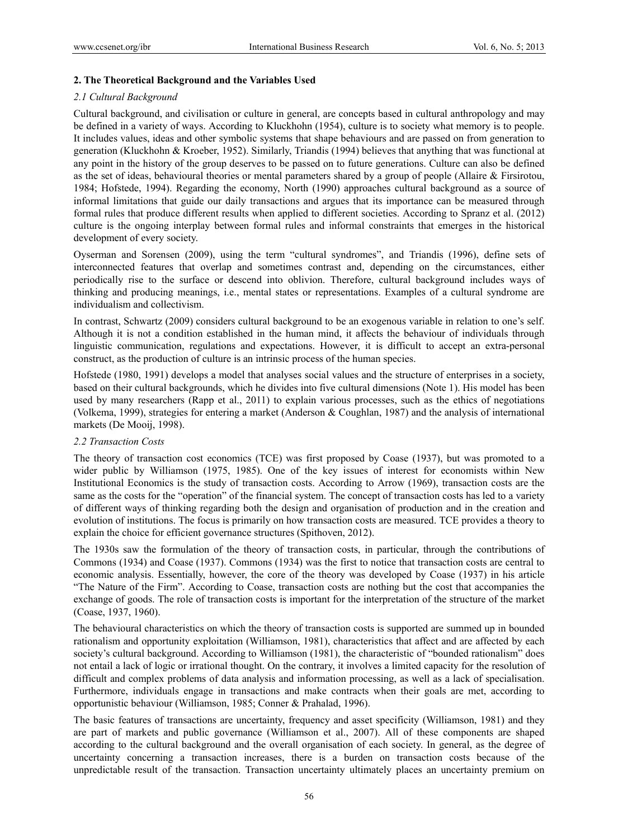# **2. The Theoretical Background and the Variables Used**

#### *2.1 Cultural Background*

Cultural background, and civilisation or culture in general, are concepts based in cultural anthropology and may be defined in a variety of ways. According to Kluckhohn (1954), culture is to society what memory is to people. It includes values, ideas and other symbolic systems that shape behaviours and are passed on from generation to generation (Kluckhohn & Kroeber, 1952). Similarly, Triandis (1994) believes that anything that was functional at any point in the history of the group deserves to be passed on to future generations. Culture can also be defined as the set of ideas, behavioural theories or mental parameters shared by a group of people (Allaire & Firsirotou, 1984; Hofstede, 1994). Regarding the economy, North (1990) approaches cultural background as a source of informal limitations that guide our daily transactions and argues that its importance can be measured through formal rules that produce different results when applied to different societies. According to Spranz et al. (2012) culture is the ongoing interplay between formal rules and informal constraints that emerges in the historical development of every society.

Oyserman and Sorensen (2009), using the term "cultural syndromes", and Triandis (1996), define sets of interconnected features that overlap and sometimes contrast and, depending on the circumstances, either periodically rise to the surface or descend into oblivion. Therefore, cultural background includes ways of thinking and producing meanings, i.e., mental states or representations. Examples of a cultural syndrome are individualism and collectivism.

In contrast, Schwartz (2009) considers cultural background to be an exogenous variable in relation to one's self. Although it is not a condition established in the human mind, it affects the behaviour of individuals through linguistic communication, regulations and expectations. However, it is difficult to accept an extra-personal construct, as the production of culture is an intrinsic process of the human species.

Hofstede (1980, 1991) develops a model that analyses social values and the structure of enterprises in a society, based on their cultural backgrounds, which he divides into five cultural dimensions (Note 1). His model has been used by many researchers (Rapp et al., 2011) to explain various processes, such as the ethics of negotiations (Volkema, 1999), strategies for entering a market (Anderson & Coughlan, 1987) and the analysis of international markets (De Mooij, 1998).

# *2.2 Transaction Costs*

The theory of transaction cost economics (TCE) was first proposed by Coase (1937), but was promoted to a wider public by Williamson (1975, 1985). One of the key issues of interest for economists within New Institutional Economics is the study of transaction costs. According to Arrow (1969), transaction costs are the same as the costs for the "operation" of the financial system. The concept of transaction costs has led to a variety of different ways of thinking regarding both the design and organisation of production and in the creation and evolution of institutions. The focus is primarily on how transaction costs are measured. TCE provides a theory to explain the choice for efficient governance structures (Spithoven, 2012).

The 1930s saw the formulation of the theory of transaction costs, in particular, through the contributions of Commons (1934) and Coase (1937). Commons (1934) was the first to notice that transaction costs are central to economic analysis. Essentially, however, the core of the theory was developed by Coase (1937) in his article "The Nature of the Firm". According to Coase, transaction costs are nothing but the cost that accompanies the exchange of goods. The role of transaction costs is important for the interpretation of the structure of the market (Coase, 1937, 1960).

The behavioural characteristics on which the theory of transaction costs is supported are summed up in bounded rationalism and opportunity exploitation (Williamson, 1981), characteristics that affect and are affected by each society's cultural background. According to Williamson (1981), the characteristic of "bounded rationalism" does not entail a lack of logic or irrational thought. On the contrary, it involves a limited capacity for the resolution of difficult and complex problems of data analysis and information processing, as well as a lack of specialisation. Furthermore, individuals engage in transactions and make contracts when their goals are met, according to opportunistic behaviour (Williamson, 1985; Conner & Prahalad, 1996).

The basic features of transactions are uncertainty, frequency and asset specificity (Williamson, 1981) and they are part of markets and public governance (Williamson et al., 2007). All of these components are shaped according to the cultural background and the overall organisation of each society. In general, as the degree of uncertainty concerning a transaction increases, there is a burden on transaction costs because of the unpredictable result of the transaction. Transaction uncertainty ultimately places an uncertainty premium on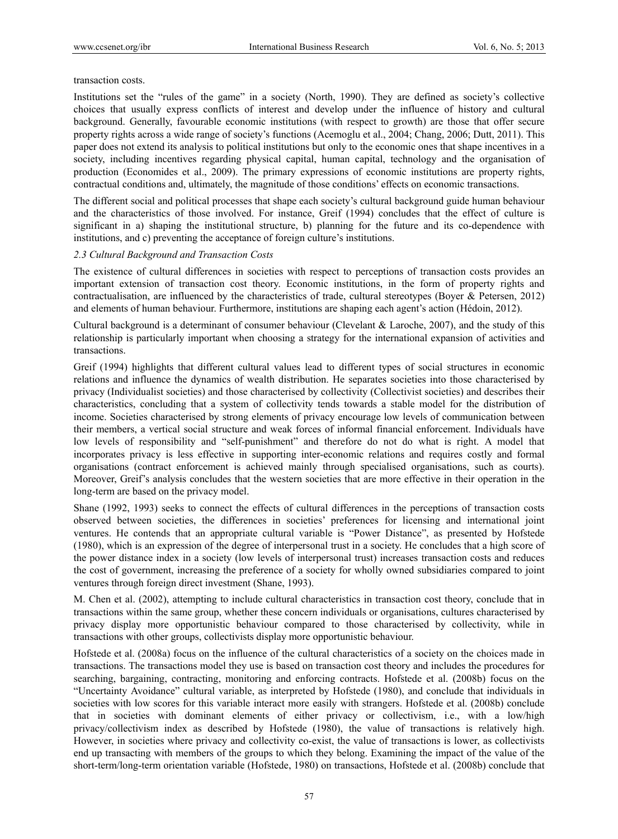transaction costs.

Institutions set the "rules of the game" in a society (North, 1990). They are defined as society's collective choices that usually express conflicts of interest and develop under the influence of history and cultural background. Generally, favourable economic institutions (with respect to growth) are those that offer secure property rights across a wide range of society's functions (Acemoglu et al., 2004; Chang, 2006; Dutt, 2011). This paper does not extend its analysis to political institutions but only to the economic ones that shape incentives in a society, including incentives regarding physical capital, human capital, technology and the organisation of production (Economides et al., 2009). The primary expressions of economic institutions are property rights, contractual conditions and, ultimately, the magnitude of those conditions' effects on economic transactions.

The different social and political processes that shape each society's cultural background guide human behaviour and the characteristics of those involved. For instance, Greif (1994) concludes that the effect of culture is significant in a) shaping the institutional structure, b) planning for the future and its co-dependence with institutions, and c) preventing the acceptance of foreign culture's institutions.

# *2.3 Cultural Background and Transaction Costs*

The existence of cultural differences in societies with respect to perceptions of transaction costs provides an important extension of transaction cost theory. Economic institutions, in the form of property rights and contractualisation, are influenced by the characteristics of trade, cultural stereotypes (Boyer & Petersen, 2012) and elements of human behaviour. Furthermore, institutions are shaping each agent's action (Hédoin, 2012).

Cultural background is a determinant of consumer behaviour (Clevelant & Laroche, 2007), and the study of this relationship is particularly important when choosing a strategy for the international expansion of activities and transactions.

Greif (1994) highlights that different cultural values lead to different types of social structures in economic relations and influence the dynamics of wealth distribution. He separates societies into those characterised by privacy (Individualist societies) and those characterised by collectivity (Collectivist societies) and describes their characteristics, concluding that a system of collectivity tends towards a stable model for the distribution of income. Societies characterised by strong elements of privacy encourage low levels of communication between their members, a vertical social structure and weak forces of informal financial enforcement. Individuals have low levels of responsibility and "self-punishment" and therefore do not do what is right. A model that incorporates privacy is less effective in supporting inter-economic relations and requires costly and formal organisations (contract enforcement is achieved mainly through specialised organisations, such as courts). Moreover, Greif's analysis concludes that the western societies that are more effective in their operation in the long-term are based on the privacy model.

Shane (1992, 1993) seeks to connect the effects of cultural differences in the perceptions of transaction costs observed between societies, the differences in societies' preferences for licensing and international joint ventures. He contends that an appropriate cultural variable is "Power Distance", as presented by Hofstede (1980), which is an expression of the degree of interpersonal trust in a society. He concludes that a high score of the power distance index in a society (low levels of interpersonal trust) increases transaction costs and reduces the cost of government, increasing the preference of a society for wholly owned subsidiaries compared to joint ventures through foreign direct investment (Shane, 1993).

M. Chen et al. (2002), attempting to include cultural characteristics in transaction cost theory, conclude that in transactions within the same group, whether these concern individuals or organisations, cultures characterised by privacy display more opportunistic behaviour compared to those characterised by collectivity, while in transactions with other groups, collectivists display more opportunistic behaviour.

Hofstede et al. (2008a) focus on the influence of the cultural characteristics of a society on the choices made in transactions. The transactions model they use is based on transaction cost theory and includes the procedures for searching, bargaining, contracting, monitoring and enforcing contracts. Hofstede et al. (2008b) focus on the "Uncertainty Avoidance" cultural variable, as interpreted by Hofstede (1980), and conclude that individuals in societies with low scores for this variable interact more easily with strangers. Hofstede et al. (2008b) conclude that in societies with dominant elements of either privacy or collectivism, i.e., with a low/high privacy/collectivism index as described by Hofstede (1980), the value of transactions is relatively high. However, in societies where privacy and collectivity co-exist, the value of transactions is lower, as collectivists end up transacting with members of the groups to which they belong. Examining the impact of the value of the short-term/long-term orientation variable (Hofstede, 1980) on transactions, Hofstede et al. (2008b) conclude that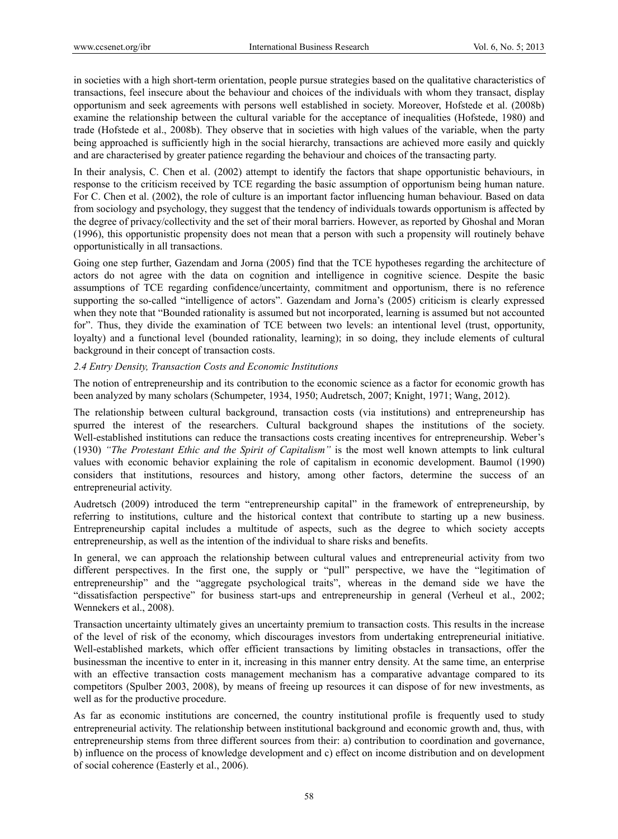in societies with a high short-term orientation, people pursue strategies based on the qualitative characteristics of transactions, feel insecure about the behaviour and choices of the individuals with whom they transact, display opportunism and seek agreements with persons well established in society. Moreover, Hofstede et al. (2008b) examine the relationship between the cultural variable for the acceptance of inequalities (Hofstede, 1980) and trade (Hofstede et al., 2008b). They observe that in societies with high values of the variable, when the party being approached is sufficiently high in the social hierarchy, transactions are achieved more easily and quickly and are characterised by greater patience regarding the behaviour and choices of the transacting party.

In their analysis, C. Chen et al. (2002) attempt to identify the factors that shape opportunistic behaviours, in response to the criticism received by TCE regarding the basic assumption of opportunism being human nature. For C. Chen et al. (2002), the role of culture is an important factor influencing human behaviour. Based on data from sociology and psychology, they suggest that the tendency of individuals towards opportunism is affected by the degree of privacy/collectivity and the set of their moral barriers. However, as reported by Ghoshal and Moran (1996), this opportunistic propensity does not mean that a person with such a propensity will routinely behave opportunistically in all transactions.

Going one step further, Gazendam and Jorna (2005) find that the TCE hypotheses regarding the architecture of actors do not agree with the data on cognition and intelligence in cognitive science. Despite the basic assumptions of TCE regarding confidence/uncertainty, commitment and opportunism, there is no reference supporting the so-called "intelligence of actors". Gazendam and Jorna's (2005) criticism is clearly expressed when they note that "Bounded rationality is assumed but not incorporated, learning is assumed but not accounted for". Thus, they divide the examination of TCE between two levels: an intentional level (trust, opportunity, loyalty) and a functional level (bounded rationality, learning); in so doing, they include elements of cultural background in their concept of transaction costs.

## *2.4 Entry Density, Transaction Costs and Economic Institutions*

The notion of entrepreneurship and its contribution to the economic science as a factor for economic growth has been analyzed by many scholars (Schumpeter, 1934, 1950; Audretsch, 2007; Knight, 1971; Wang, 2012).

The relationship between cultural background, transaction costs (via institutions) and entrepreneurship has spurred the interest of the researchers. Cultural background shapes the institutions of the society. Well-established institutions can reduce the transactions costs creating incentives for entrepreneurship. Weber's (1930) *"The Protestant Ethic and the Spirit of Capitalism"* is the most well known attempts to link cultural values with economic behavior explaining the role of capitalism in economic development. Baumol (1990) considers that institutions, resources and history, among other factors, determine the success of an entrepreneurial activity.

Audretsch (2009) introduced the term "entrepreneurship capital" in the framework of entrepreneurship, by referring to institutions, culture and the historical context that contribute to starting up a new business. Entrepreneurship capital includes a multitude of aspects, such as the degree to which society accepts entrepreneurship, as well as the intention of the individual to share risks and benefits.

In general, we can approach the relationship between cultural values and entrepreneurial activity from two different perspectives. In the first one, the supply or "pull" perspective, we have the "legitimation of entrepreneurship" and the "aggregate psychological traits", whereas in the demand side we have the "dissatisfaction perspective" for business start-ups and entrepreneurship in general (Verheul et al., 2002; Wennekers et al., 2008).

Transaction uncertainty ultimately gives an uncertainty premium to transaction costs. This results in the increase of the level of risk of the economy, which discourages investors from undertaking entrepreneurial initiative. Well-established markets, which offer efficient transactions by limiting obstacles in transactions, offer the businessman the incentive to enter in it, increasing in this manner entry density. At the same time, an enterprise with an effective transaction costs management mechanism has a comparative advantage compared to its competitors (Spulber 2003, 2008), by means of freeing up resources it can dispose of for new investments, as well as for the productive procedure.

As far as economic institutions are concerned, the country institutional profile is frequently used to study entrepreneurial activity. The relationship between institutional background and economic growth and, thus, with entrepreneurship stems from three different sources from their: a) contribution to coordination and governance, b) influence on the process of knowledge development and c) effect on income distribution and on development of social coherence (Easterly et al., 2006).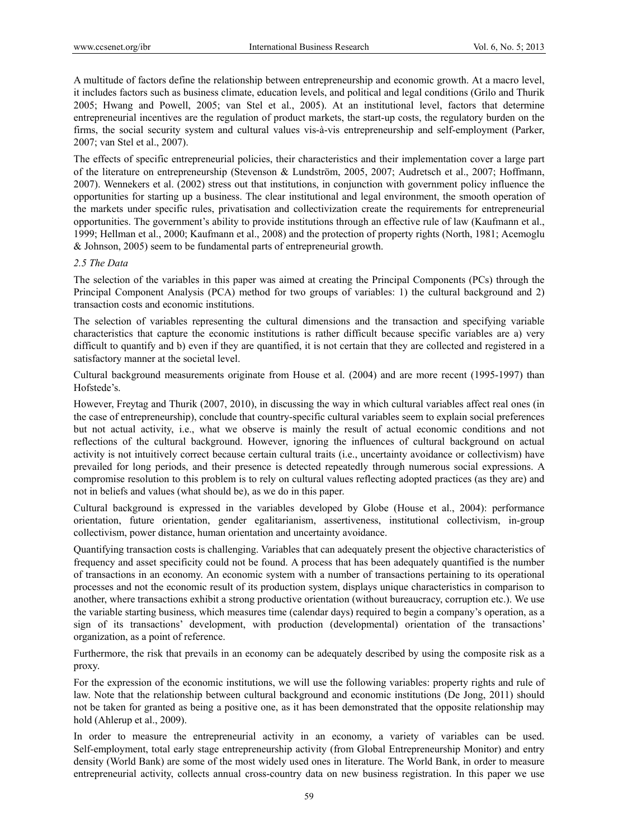A multitude of factors define the relationship between entrepreneurship and economic growth. At a macro level, it includes factors such as business climate, education levels, and political and legal conditions (Grilo and Thurik 2005; Hwang and Powell, 2005; van Stel et al., 2005). At an institutional level, factors that determine entrepreneurial incentives are the regulation of product markets, the start-up costs, the regulatory burden on the firms, the social security system and cultural values vis-à-vis entrepreneurship and self-employment (Parker, 2007; van Stel et al., 2007).

The effects of specific entrepreneurial policies, their characteristics and their implementation cover a large part of the literature on entrepreneurship (Stevenson & Lundström, 2005, 2007; Audretsch et al., 2007; Hoffmann, 2007). Wennekers et al. (2002) stress out that institutions, in conjunction with government policy influence the opportunities for starting up a business. The clear institutional and legal environment, the smooth operation of the markets under specific rules, privatisation and collectivization create the requirements for entrepreneurial opportunities. The government's ability to provide institutions through an effective rule of law (Kaufmann et al., 1999; Hellman et al., 2000; Kaufmann et al., 2008) and the protection of property rights (North, 1981; Acemoglu & Johnson, 2005) seem to be fundamental parts of entrepreneurial growth.

# *2.5 The Data*

The selection of the variables in this paper was aimed at creating the Principal Components (PCs) through the Principal Component Analysis (PCA) method for two groups of variables: 1) the cultural background and 2) transaction costs and economic institutions.

The selection of variables representing the cultural dimensions and the transaction and specifying variable characteristics that capture the economic institutions is rather difficult because specific variables are a) very difficult to quantify and b) even if they are quantified, it is not certain that they are collected and registered in a satisfactory manner at the societal level.

Cultural background measurements originate from House et al. (2004) and are more recent (1995-1997) than Hofstede's.

However, Freytag and Thurik (2007, 2010), in discussing the way in which cultural variables affect real ones (in the case of entrepreneurship), conclude that country-specific cultural variables seem to explain social preferences but not actual activity, i.e., what we observe is mainly the result of actual economic conditions and not reflections of the cultural background. However, ignoring the influences of cultural background on actual activity is not intuitively correct because certain cultural traits (i.e., uncertainty avoidance or collectivism) have prevailed for long periods, and their presence is detected repeatedly through numerous social expressions. A compromise resolution to this problem is to rely on cultural values reflecting adopted practices (as they are) and not in beliefs and values (what should be), as we do in this paper.

Cultural background is expressed in the variables developed by Globe (House et al., 2004): performance orientation, future orientation, gender egalitarianism, assertiveness, institutional collectivism, in-group collectivism, power distance, human orientation and uncertainty avoidance.

Quantifying transaction costs is challenging. Variables that can adequately present the objective characteristics of frequency and asset specificity could not be found. A process that has been adequately quantified is the number of transactions in an economy. An economic system with a number of transactions pertaining to its operational processes and not the economic result of its production system, displays unique characteristics in comparison to another, where transactions exhibit a strong productive orientation (without bureaucracy, corruption etc.). We use the variable starting business, which measures time (calendar days) required to begin a company's operation, as a sign of its transactions' development, with production (developmental) orientation of the transactions' organization, as a point of reference.

Furthermore, the risk that prevails in an economy can be adequately described by using the composite risk as a proxy.

For the expression of the economic institutions, we will use the following variables: property rights and rule of law. Note that the relationship between cultural background and economic institutions (De Jong, 2011) should not be taken for granted as being a positive one, as it has been demonstrated that the opposite relationship may hold (Ahlerup et al., 2009).

In order to measure the entrepreneurial activity in an economy, a variety of variables can be used. Self-employment, total early stage entrepreneurship activity (from Global Entrepreneurship Monitor) and entry density (World Bank) are some of the most widely used ones in literature. The World Bank, in order to measure entrepreneurial activity, collects annual cross-country data on new business registration. In this paper we use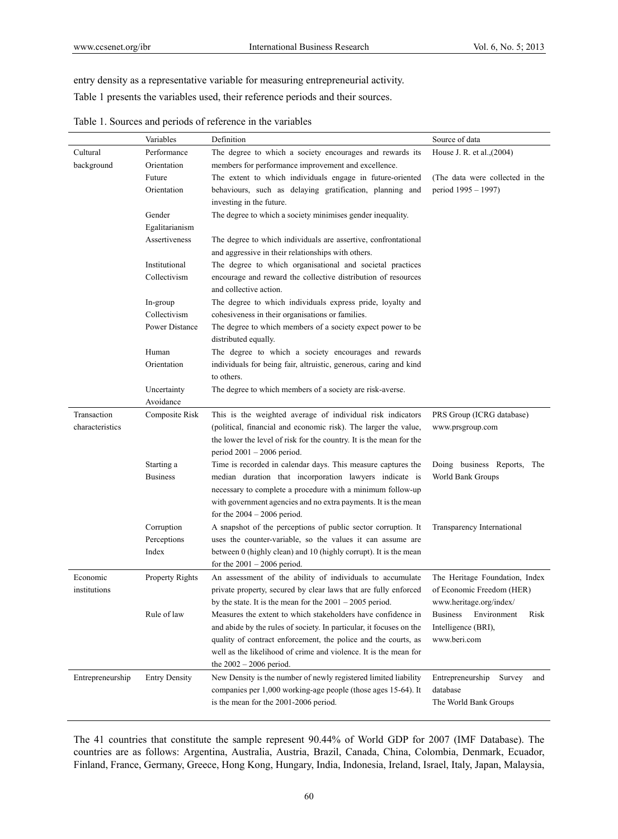entry density as a representative variable for measuring entrepreneurial activity.

Table 1 presents the variables used, their reference periods and their sources.

|                  | Variables              | Definition                                                                                        | Source of data                         |
|------------------|------------------------|---------------------------------------------------------------------------------------------------|----------------------------------------|
| Cultural         | Performance            | The degree to which a society encourages and rewards its                                          | House J. R. et al., (2004)             |
| background       | Orientation            | members for performance improvement and excellence.                                               |                                        |
|                  | Future                 | The extent to which individuals engage in future-oriented                                         | (The data were collected in the        |
|                  | Orientation            | behaviours, such as delaying gratification, planning and                                          | period 1995 - 1997)                    |
|                  |                        | investing in the future.                                                                          |                                        |
|                  | Gender                 | The degree to which a society minimises gender inequality.                                        |                                        |
|                  | Egalitarianism         |                                                                                                   |                                        |
|                  | Assertiveness          | The degree to which individuals are assertive, confrontational                                    |                                        |
|                  |                        | and aggressive in their relationships with others.                                                |                                        |
|                  | Institutional          | The degree to which organisational and societal practices                                         |                                        |
|                  | Collectivism           | encourage and reward the collective distribution of resources<br>and collective action.           |                                        |
|                  | In-group               | The degree to which individuals express pride, loyalty and                                        |                                        |
|                  | Collectivism           | cohesiveness in their organisations or families.                                                  |                                        |
|                  | Power Distance         | The degree to which members of a society expect power to be                                       |                                        |
|                  |                        | distributed equally.                                                                              |                                        |
|                  | Human                  | The degree to which a society encourages and rewards                                              |                                        |
|                  | Orientation            | individuals for being fair, altruistic, generous, caring and kind                                 |                                        |
|                  |                        | to others.                                                                                        |                                        |
|                  | Uncertainty            | The degree to which members of a society are risk-averse.                                         |                                        |
|                  | Avoidance              |                                                                                                   |                                        |
| Transaction      | Composite Risk         | This is the weighted average of individual risk indicators                                        | PRS Group (ICRG database)              |
| characteristics  |                        | (political, financial and economic risk). The larger the value,                                   | www.prsgroup.com                       |
|                  |                        | the lower the level of risk for the country. It is the mean for the                               |                                        |
|                  |                        | period $2001 - 2006$ period.                                                                      |                                        |
|                  | Starting a             | Time is recorded in calendar days. This measure captures the                                      | Doing business Reports, The            |
|                  | <b>Business</b>        | median duration that incorporation lawyers indicate is                                            | World Bank Groups                      |
|                  |                        | necessary to complete a procedure with a minimum follow-up                                        |                                        |
|                  |                        | with government agencies and no extra payments. It is the mean                                    |                                        |
|                  |                        | for the $2004 - 2006$ period.                                                                     |                                        |
|                  | Corruption             | A snapshot of the perceptions of public sector corruption. It                                     | Transparency International             |
|                  | Perceptions            | uses the counter-variable, so the values it can assume are                                        |                                        |
|                  | Index                  | between 0 (highly clean) and 10 (highly corrupt). It is the mean<br>for the $2001 - 2006$ period. |                                        |
| Economic         | <b>Property Rights</b> | An assessment of the ability of individuals to accumulate                                         | The Heritage Foundation, Index         |
| institutions     |                        | private property, secured by clear laws that are fully enforced                                   | of Economic Freedom (HER)              |
|                  |                        | by the state. It is the mean for the $2001 - 2005$ period.                                        | www.heritage.org/index/                |
|                  | Rule of law            | Measures the extent to which stakeholders have confidence in                                      | <b>Business</b><br>Environment<br>Risk |
|                  |                        | and abide by the rules of society. In particular, it focuses on the                               | Intelligence (BRI),                    |
|                  |                        | quality of contract enforcement, the police and the courts, as                                    | www.beri.com                           |
|                  |                        | well as the likelihood of crime and violence. It is the mean for                                  |                                        |
|                  |                        | the $2002 - 2006$ period.                                                                         |                                        |
| Entrepreneurship | <b>Entry Density</b>   | New Density is the number of newly registered limited liability                                   | Entrepreneurship<br>Survey<br>and      |
|                  |                        | companies per 1,000 working-age people (those ages 15-64). It                                     | database                               |
|                  |                        | is the mean for the 2001-2006 period.                                                             | The World Bank Groups                  |
|                  |                        |                                                                                                   |                                        |

Table 1. Sources and periods of reference in the variables

The 41 countries that constitute the sample represent 90.44% of World GDP for 2007 (IMF Database). The countries are as follows: Argentina, Australia, Austria, Brazil, Canada, China, Colombia, Denmark, Ecuador, Finland, France, Germany, Greece, Hong Kong, Hungary, India, Indonesia, Ireland, Israel, Italy, Japan, Malaysia,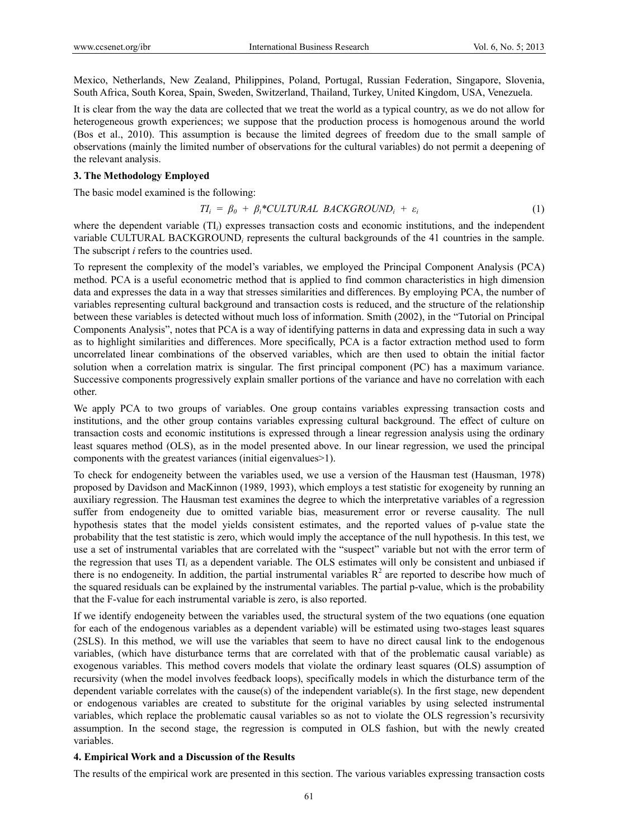Mexico, Netherlands, New Zealand, Philippines, Poland, Portugal, Russian Federation, Singapore, Slovenia, South Africa, South Korea, Spain, Sweden, Switzerland, Thailand, Turkey, United Kingdom, USA, Venezuela.

It is clear from the way the data are collected that we treat the world as a typical country, as we do not allow for heterogeneous growth experiences; we suppose that the production process is homogenous around the world (Bos et al., 2010). This assumption is because the limited degrees of freedom due to the small sample of observations (mainly the limited number of observations for the cultural variables) do not permit a deepening of the relevant analysis.

## **3. The Methodology Employed**

The basic model examined is the following:

$$
TI_i = \beta_0 + \beta_i^*CULTURAL \; BACKGROUP_i + \varepsilon_i \tag{1}
$$

where the dependent variable (TI<sub>*i*</sub>) expresses transaction costs and economic institutions, and the independent variable CULTURAL BACKGROUND*<sup>i</sup>* represents the cultural backgrounds of the 41 countries in the sample. The subscript *i* refers to the countries used.

To represent the complexity of the model's variables, we employed the Principal Component Analysis (PCA) method. PCA is a useful econometric method that is applied to find common characteristics in high dimension data and expresses the data in a way that stresses similarities and differences. By employing PCA, the number of variables representing cultural background and transaction costs is reduced, and the structure of the relationship between these variables is detected without much loss of information. Smith (2002), in the "Tutorial on Principal Components Analysis", notes that PCA is a way of identifying patterns in data and expressing data in such a way as to highlight similarities and differences. More specifically, PCA is a factor extraction method used to form uncorrelated linear combinations of the observed variables, which are then used to obtain the initial factor solution when a correlation matrix is singular. The first principal component (PC) has a maximum variance. Successive components progressively explain smaller portions of the variance and have no correlation with each other.

We apply PCA to two groups of variables. One group contains variables expressing transaction costs and institutions, and the other group contains variables expressing cultural background. The effect of culture on transaction costs and economic institutions is expressed through a linear regression analysis using the ordinary least squares method (OLS), as in the model presented above. In our linear regression, we used the principal components with the greatest variances (initial eigenvalues>1).

To check for endogeneity between the variables used, we use a version of the Hausman test (Hausman, 1978) proposed by Davidson and MacKinnon (1989, 1993), which employs a test statistic for exogeneity by running an auxiliary regression. The Hausman test examines the degree to which the interpretative variables of a regression suffer from endogeneity due to omitted variable bias, measurement error or reverse causality. The null hypothesis states that the model yields consistent estimates, and the reported values of p-value state the probability that the test statistic is zero, which would imply the acceptance of the null hypothesis. In this test, we use a set of instrumental variables that are correlated with the "suspect" variable but not with the error term of the regression that uses TI*i* as a dependent variable. The OLS estimates will only be consistent and unbiased if there is no endogeneity. In addition, the partial instrumental variables  $R^2$  are reported to describe how much of the squared residuals can be explained by the instrumental variables. The partial p-value, which is the probability that the F-value for each instrumental variable is zero, is also reported.

If we identify endogeneity between the variables used, the structural system of the two equations (one equation for each of the endogenous variables as a dependent variable) will be estimated using two-stages least squares (2SLS). In this method, we will use the variables that seem to have no direct causal link to the endogenous variables, (which have disturbance terms that are correlated with that of the problematic causal variable) as exogenous variables. This method covers models that violate the ordinary least squares (OLS) assumption of recursivity (when the model involves feedback loops), specifically models in which the disturbance term of the dependent variable correlates with the cause(s) of the independent variable(s). In the first stage, new dependent or endogenous variables are created to substitute for the original variables by using selected instrumental variables, which replace the problematic causal variables so as not to violate the OLS regression's recursivity assumption. In the second stage, the regression is computed in OLS fashion, but with the newly created variables.

### **4. Empirical Work and a Discussion of the Results**

The results of the empirical work are presented in this section. The various variables expressing transaction costs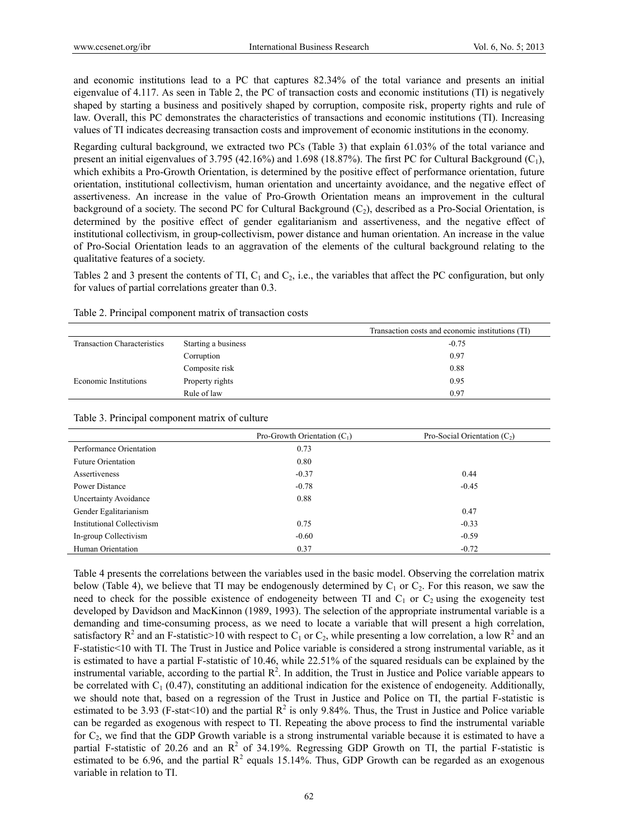and economic institutions lead to a PC that captures 82.34% of the total variance and presents an initial eigenvalue of 4.117. As seen in Table 2, the PC of transaction costs and economic institutions (TI) is negatively shaped by starting a business and positively shaped by corruption, composite risk, property rights and rule of law. Overall, this PC demonstrates the characteristics of transactions and economic institutions (TI). Increasing values of TI indicates decreasing transaction costs and improvement of economic institutions in the economy.

Regarding cultural background, we extracted two PCs (Table 3) that explain 61.03% of the total variance and present an initial eigenvalues of 3.795 (42.16%) and 1.698 (18.87%). The first PC for Cultural Background  $(C_1)$ , which exhibits a Pro-Growth Orientation, is determined by the positive effect of performance orientation, future orientation, institutional collectivism, human orientation and uncertainty avoidance, and the negative effect of assertiveness. An increase in the value of Pro-Growth Orientation means an improvement in the cultural background of a society. The second PC for Cultural Background  $(C_2)$ , described as a Pro-Social Orientation, is determined by the positive effect of gender egalitarianism and assertiveness, and the negative effect of institutional collectivism, in group-collectivism, power distance and human orientation. An increase in the value of Pro-Social Orientation leads to an aggravation of the elements of the cultural background relating to the qualitative features of a society.

Tables 2 and 3 present the contents of TI,  $C_1$  and  $C_2$ , i.e., the variables that affect the PC configuration, but only for values of partial correlations greater than 0.3.

|                                    |                     | Transaction costs and economic institutions (TI) |
|------------------------------------|---------------------|--------------------------------------------------|
| <b>Transaction Characteristics</b> | Starting a business | $-0.75$                                          |
|                                    | Corruption          | 0.97                                             |
|                                    | Composite risk      | 0.88                                             |
| Economic Institutions              | Property rights     | 0.95                                             |
|                                    | Rule of law         | 0.97                                             |

Table 2. Principal component matrix of transaction costs

#### Table 3. Principal component matrix of culture

|                            | Pro-Growth Orientation $(C_1)$ | Pro-Social Orientation $(C_2)$ |
|----------------------------|--------------------------------|--------------------------------|
| Performance Orientation    | 0.73                           |                                |
| <b>Future Orientation</b>  | 0.80                           |                                |
| Assertiveness              | $-0.37$                        | 0.44                           |
| Power Distance             | $-0.78$                        | $-0.45$                        |
| Uncertainty Avoidance      | 0.88                           |                                |
| Gender Egalitarianism      |                                | 0.47                           |
| Institutional Collectivism | 0.75                           | $-0.33$                        |
| In-group Collectivism      | $-0.60$                        | $-0.59$                        |
| Human Orientation          | 0.37                           | $-0.72$                        |

Table 4 presents the correlations between the variables used in the basic model. Observing the correlation matrix below (Table 4), we believe that TI may be endogenously determined by  $C_1$  or  $C_2$ . For this reason, we saw the need to check for the possible existence of endogeneity between TI and  $C_1$  or  $C_2$  using the exogeneity test developed by Davidson and MacKinnon (1989, 1993). The selection of the appropriate instrumental variable is a demanding and time-consuming process, as we need to locate a variable that will present a high correlation, satisfactory  $R^2$  and an F-statistic>10 with respect to C<sub>1</sub> or C<sub>2</sub>, while presenting a low correlation, a low  $R^2$  and an F-statistic<10 with TI. The Trust in Justice and Police variable is considered a strong instrumental variable, as it is estimated to have a partial F-statistic of 10.46, while 22.51% of the squared residuals can be explained by the instrumental variable, according to the partial  $\mathbb{R}^2$ . In addition, the Trust in Justice and Police variable appears to be correlated with  $C_1$  (0.47), constituting an additional indication for the existence of endogeneity. Additionally, we should note that, based on a regression of the Trust in Justice and Police on TI, the partial F-statistic is estimated to be 3.93 (F-stat<10) and the partial  $R^2$  is only 9.84%. Thus, the Trust in Justice and Police variable can be regarded as exogenous with respect to TI. Repeating the above process to find the instrumental variable for  $C_2$ , we find that the GDP Growth variable is a strong instrumental variable because it is estimated to have a partial F-statistic of 20.26 and an  $\mathbb{R}^2$  of 34.19%. Regressing GDP Growth on TI, the partial F-statistic is estimated to be 6.96, and the partial  $R^2$  equals 15.14%. Thus, GDP Growth can be regarded as an exogenous variable in relation to TI.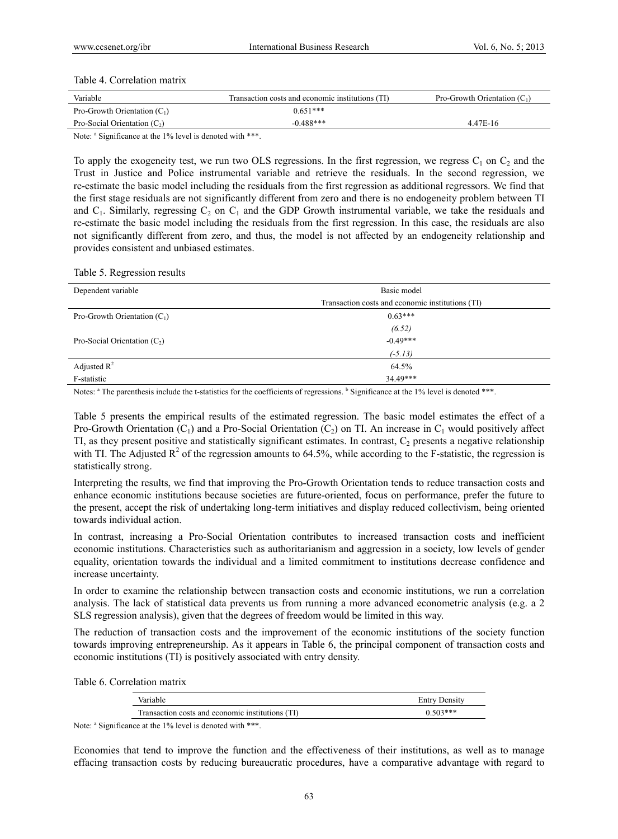## Table 4. Correlation matrix

| Variable                       | Transaction costs and economic institutions (TI) | Pro-Growth Orientation $(C_1)$ |
|--------------------------------|--------------------------------------------------|--------------------------------|
| Pro-Growth Orientation $(C_1)$ | $0.651***$                                       |                                |
| Pro-Social Orientation $(C_2)$ | $-0.488***$                                      | 4.47E-16                       |
|                                |                                                  |                                |

Note: <sup>a</sup> Significance at the 1% level is denoted with \*\*\*.

To apply the exogeneity test, we run two OLS regressions. In the first regression, we regress  $C_1$  on  $C_2$  and the Trust in Justice and Police instrumental variable and retrieve the residuals. In the second regression, we re-estimate the basic model including the residuals from the first regression as additional regressors. We find that the first stage residuals are not significantly different from zero and there is no endogeneity problem between TI and  $C_1$ . Similarly, regressing  $C_2$  on  $C_1$  and the GDP Growth instrumental variable, we take the residuals and re-estimate the basic model including the residuals from the first regression. In this case, the residuals are also not significantly different from zero, and thus, the model is not affected by an endogeneity relationship and provides consistent and unbiased estimates.

|  | Table 5. Regression results |  |
|--|-----------------------------|--|
|--|-----------------------------|--|

| Dependent variable             | Basic model                                      |
|--------------------------------|--------------------------------------------------|
|                                | Transaction costs and economic institutions (TI) |
| Pro-Growth Orientation $(C_1)$ | $0.63***$                                        |
|                                | (6.52)                                           |
| Pro-Social Orientation $(C_2)$ | $-0.49***$                                       |
|                                | $(-5.13)$                                        |
| Adjusted $\mathbb{R}^2$        | 64.5%                                            |
| F-statistic                    | $34.49***$                                       |

Notes: <sup>a</sup> The parenthesis include the t-statistics for the coefficients of regressions. <sup>b</sup> Significance at the 1% level is denoted \*\*\*.

Table 5 presents the empirical results of the estimated regression. The basic model estimates the effect of a Pro-Growth Orientation  $(C_1)$  and a Pro-Social Orientation  $(C_2)$  on TI. An increase in  $C_1$  would positively affect TI, as they present positive and statistically significant estimates. In contrast,  $C_2$  presents a negative relationship with TI. The Adjusted  $\mathbb{R}^2$  of the regression amounts to 64.5%, while according to the F-statistic, the regression is statistically strong.

Interpreting the results, we find that improving the Pro-Growth Orientation tends to reduce transaction costs and enhance economic institutions because societies are future-oriented, focus on performance, prefer the future to the present, accept the risk of undertaking long-term initiatives and display reduced collectivism, being oriented towards individual action.

In contrast, increasing a Pro-Social Orientation contributes to increased transaction costs and inefficient economic institutions. Characteristics such as authoritarianism and aggression in a society, low levels of gender equality, orientation towards the individual and a limited commitment to institutions decrease confidence and increase uncertainty.

In order to examine the relationship between transaction costs and economic institutions, we run a correlation analysis. The lack of statistical data prevents us from running a more advanced econometric analysis (e.g. a 2 SLS regression analysis), given that the degrees of freedom would be limited in this way.

The reduction of transaction costs and the improvement of the economic institutions of the society function towards improving entrepreneurship. As it appears in Table 6, the principal component of transaction costs and economic institutions (TI) is positively associated with entry density.

Table 6. Correlation matrix

| $503***$ |
|----------|
|          |

Note: <sup>a</sup> Significance at the 1% level is denoted with \*\*\*.

Economies that tend to improve the function and the effectiveness of their institutions, as well as to manage effacing transaction costs by reducing bureaucratic procedures, have a comparative advantage with regard to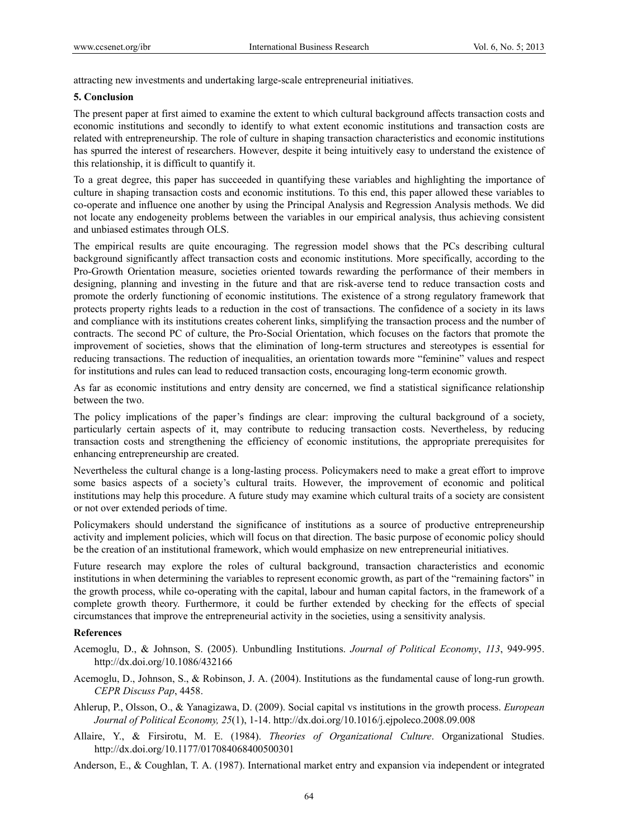attracting new investments and undertaking large-scale entrepreneurial initiatives.

#### **5. Conclusion**

The present paper at first aimed to examine the extent to which cultural background affects transaction costs and economic institutions and secondly to identify to what extent economic institutions and transaction costs are related with entrepreneurship. The role of culture in shaping transaction characteristics and economic institutions has spurred the interest of researchers. However, despite it being intuitively easy to understand the existence of this relationship, it is difficult to quantify it.

To a great degree, this paper has succeeded in quantifying these variables and highlighting the importance of culture in shaping transaction costs and economic institutions. To this end, this paper allowed these variables to co-operate and influence one another by using the Principal Analysis and Regression Analysis methods. We did not locate any endogeneity problems between the variables in our empirical analysis, thus achieving consistent and unbiased estimates through OLS.

The empirical results are quite encouraging. The regression model shows that the PCs describing cultural background significantly affect transaction costs and economic institutions. More specifically, according to the Pro-Growth Orientation measure, societies oriented towards rewarding the performance of their members in designing, planning and investing in the future and that are risk-averse tend to reduce transaction costs and promote the orderly functioning of economic institutions. The existence of a strong regulatory framework that protects property rights leads to a reduction in the cost of transactions. The confidence of a society in its laws and compliance with its institutions creates coherent links, simplifying the transaction process and the number of contracts. The second PC of culture, the Pro-Social Orientation, which focuses on the factors that promote the improvement of societies, shows that the elimination of long-term structures and stereotypes is essential for reducing transactions. The reduction of inequalities, an orientation towards more "feminine" values and respect for institutions and rules can lead to reduced transaction costs, encouraging long-term economic growth.

As far as economic institutions and entry density are concerned, we find a statistical significance relationship between the two.

The policy implications of the paper's findings are clear: improving the cultural background of a society, particularly certain aspects of it, may contribute to reducing transaction costs. Nevertheless, by reducing transaction costs and strengthening the efficiency of economic institutions, the appropriate prerequisites for enhancing entrepreneurship are created.

Nevertheless the cultural change is a long-lasting process. Policymakers need to make a great effort to improve some basics aspects of a society's cultural traits. However, the improvement of economic and political institutions may help this procedure. A future study may examine which cultural traits of a society are consistent or not over extended periods of time.

Policymakers should understand the significance of institutions as a source of productive entrepreneurship activity and implement policies, which will focus on that direction. The basic purpose of economic policy should be the creation of an institutional framework, which would emphasize on new entrepreneurial initiatives.

Future research may explore the roles of cultural background, transaction characteristics and economic institutions in when determining the variables to represent economic growth, as part of the "remaining factors" in the growth process, while co-operating with the capital, labour and human capital factors, in the framework of a complete growth theory. Furthermore, it could be further extended by checking for the effects of special circumstances that improve the entrepreneurial activity in the societies, using a sensitivity analysis.

### **References**

- Acemoglu, D., & Johnson, S. (2005). Unbundling Institutions. *Journal of Political Economy*, *113*, 949-995. http://dx.doi.org/10.1086/432166
- Acemoglu, D., Johnson, S., & Robinson, J. A. (2004). Institutions as the fundamental cause of long-run growth. *CEPR Discuss Pap*, 4458.
- Ahlerup, P., Olsson, O., & Yanagizawa, D. (2009). Social capital vs institutions in the growth process. *European Journal of Political Economy, 25*(1), 1-14. http://dx.doi.org/10.1016/j.ejpoleco.2008.09.008
- Allaire, Y., & Firsirotu, M. E. (1984). *Theories of Organizational Culture*. Organizational Studies. http://dx.doi.org/10.1177/017084068400500301

Anderson, E., & Coughlan, T. A. (1987). International market entry and expansion via independent or integrated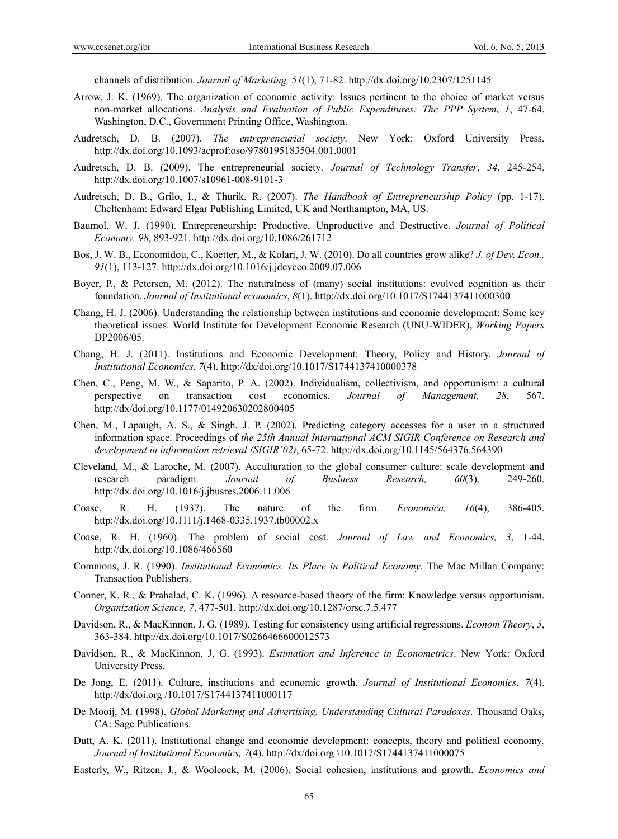channels of distribution. *Journal of Marketing, 51*(1), 71-82. http://dx.doi.org/10.2307/1251145

- Arrow, J. K. (1969). The organization of economic activity: Issues pertinent to the choice of market versus non-market allocations. *Analysis and Evaluation of Public Expenditures: The PPP System*, *1*, 47-64. Washington, D.C., Government Printing Office, Washington.
- Audretsch, D. B. (2007). *The entrepreneurial society*. New York: Oxford University Press. http://dx.doi.org/10.1093/acprof:oso/9780195183504.001.0001
- Audretsch, D. B. (2009). The entrepreneurial society. *Journal of Technology Transfer*, *34*, 245-254. http://dx.doi.org/10.1007/s10961-008-9101-3
- Audretsch, D. B., Grilo, I., & Thurik, R. (2007). *The Handbook of Entrepreneurship Policy* (pp. 1-17). Cheltenham: Edward Elgar Publishing Limited, UK and Northampton, MA, US.
- Baumol, W. J. (1990). Entrepreneurship: Productive, Unproductive and Destructive. *Journal of Political Economy, 98*, 893-921. http://dx.doi.org/10.1086/261712
- Bos, J. W. B., Economidou, C., Koetter, M., & Kolari, J. W. (2010). Do all countries grow alike? *J. of Dev. Econ., 91*(1), 113-127. http://dx.doi.org/10.1016/j.jdeveco.2009.07.006
- Boyer, P., & Petersen, M. (2012). The naturalness of (many) social institutions: evolved cognition as their foundation. *Journal of Institutional economics*, *8*(1). http://dx.doi.org/10.1017/S1744137411000300
- Chang, H. J. (2006). Understanding the relationship between institutions and economic development: Some key theoretical issues. World Institute for Development Economic Research (UNU-WIDER), *Working Papers*  DP2006/05.
- Chang, H. J. (2011). Institutions and Economic Development: Theory, Policy and History. *Journal of Institutional Economics*, *7*(4). http://dx/doi.org/10.1017/S1744137410000378
- Chen, C., Peng, M. W., & Saparito, P. A. (2002). Individualism, collectivism, and opportunism: a cultural perspective on transaction cost economics. *Journal of Management, 28*, 567. http://dx/doi.org/10.1177/014920630202800405
- Chen, M., Lapaugh, A. S., & Singh, J. P. (2002). Predicting category accesses for a user in a structured information space. Proceedings of *the 25th Annual International ACM SIGIR Conference on Research and development in information retrieval (SIGIR'02)*, 65-72. http://dx.doi.org/10.1145/564376.564390
- Cleveland, M., & Laroche, M. (2007). Acculturation to the global consumer culture: scale development and research paradigm. *Journal of Business Research, 60*(3), 249-260. http://dx.doi.org/10.1016/j.jbusres.2006.11.006
- Coase, R. H. (1937). The nature of the firm. *Economica, 16*(4), 386-405. http://dx.doi.org/10.1111/j.1468-0335.1937.tb00002.x
- Coase, R. H. (1960). The problem of social cost. *Journal of Law and Economics, 3*, 1-44. http://dx.doi.org/10.1086/466560
- Commons, J. R. (1990). *Institutional Economics. Its Place in Political Economy*. The Mac Millan Company: Transaction Publishers.
- Conner, K. R., & Prahalad, C. K. (1996). A resource-based theory of the firm: Knowledge versus opportunism. *Organization Science, 7*, 477-501. http://dx.doi.org/10.1287/orsc.7.5.477
- Davidson, R., & MacKinnon, J. G. (1989). Testing for consistency using artificial regressions. *Econom Theory*, *5*, 363-384. http://dx.doi.org/10.1017/S0266466600012573
- Davidson, R., & MacKinnon, J. G. (1993). *Estimation and Inference in Econometrics*. New York: Oxford University Press.
- De Jong, E. (2011). Culture, institutions and economic growth. *Journal of Institutional Economics*, *7*(4). http://dx/doi.org /10.1017/S1744137411000117
- De Mooij, M. (1998). *Global Marketing and Advertising. Understanding Cultural Paradoxes*. Thousand Oaks, CA: Sage Publications.
- Dutt, A. K. (2011). Institutional change and economic development: concepts, theory and political economy*. Journal of Institutional Economics, 7*(4). http://dx/doi.org \10.1017/S1744137411000075
- Easterly, W., Ritzen, J., & Woolcock, M. (2006). Social cohesion, institutions and growth. *Economics and*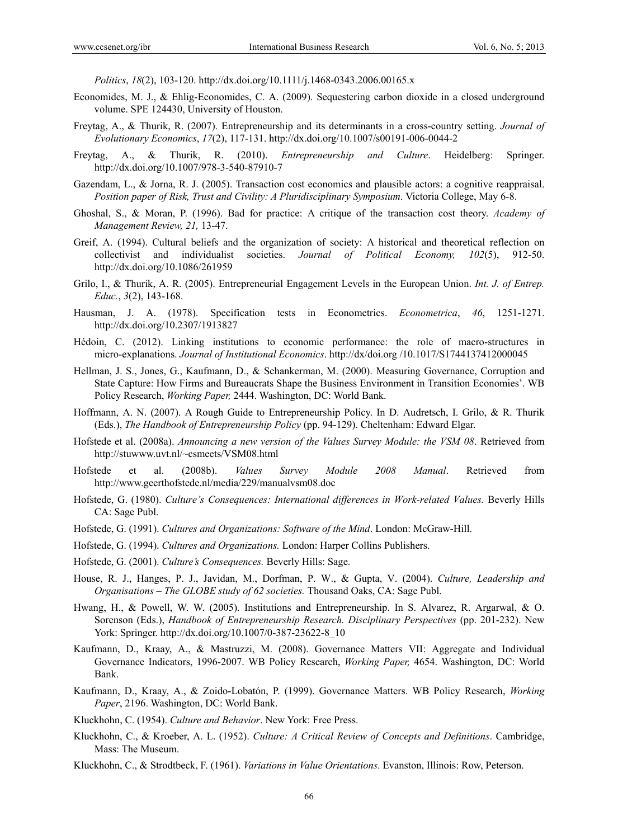*Politics*, *18*(2), 103-120. http://dx.doi.org/10.1111/j.1468-0343.2006.00165.x

- Economides, M. J., & Ehlig-Economides, C. A. (2009). Sequestering carbon dioxide in a closed underground volume. SPE 124430, University of Houston.
- Freytag, A., & Thurik, R. (2007). Entrepreneurship and its determinants in a cross-country setting. *Journal of Evolutionary Economics*, *17*(2), 117-131. http://dx.doi.org/10.1007/s00191-006-0044-2
- Freytag, A., & Thurik, R. (2010). *Entrepreneurship and Culture*. Heidelberg: Springer. http://dx.doi.org/10.1007/978-3-540-87910-7
- Gazendam, L., & Jorna, R. J. (2005). Transaction cost economics and plausible actors: a cognitive reappraisal. *Position paper of Risk, Trust and Civility: A Pluridisciplinary Symposium*. Victoria College, May 6-8.
- Ghoshal, S., & Moran, P. (1996). Bad for practice: A critique of the transaction cost theory. *Academy of Management Review, 21,* 13-47.
- Greif, A. (1994). Cultural beliefs and the organization of society: A historical and theoretical reflection on collectivist and individualist societies. *Journal of Political Economy, 102*(5), 912-50. http://dx.doi.org/10.1086/261959
- Grilo, I., & Thurik, A. R. (2005). Entrepreneurial Engagement Levels in the European Union. *Int. J. of Entrep. Educ.*, *3*(2), 143-168.
- Hausman, J. A. (1978). Specification tests in Econometrics. *Econometrica*, *46*, 1251-1271. http://dx.doi.org/10.2307/1913827
- Hédoin, C. (2012). Linking institutions to economic performance: the role of macro-structures in micro-explanations. *Journal of Institutional Economics*. http://dx/doi.org /10.1017/S1744137412000045
- Hellman, J. S., Jones, G., Kaufmann, D., & Schankerman, M. (2000). Measuring Governance, Corruption and State Capture: How Firms and Bureaucrats Shape the Business Environment in Transition Economies'. WB Policy Research, *Working Paper,* 2444. Washington, DC: World Bank.
- Hoffmann, A. N. (2007). A Rough Guide to Entrepreneurship Policy. In D. Audretsch, I. Grilo, & R. Thurik (Eds.), *The Handbook of Entrepreneurship Policy* (pp. 94-129). Cheltenham: Edward Elgar.
- Hofstede et al. (2008a). *Announcing a new version of the Values Survey Module: the VSM 08*. Retrieved from http://stuwww.uvt.nl/~csmeets/VSM08.html
- Hofstede et al. (2008b). *Values Survey Module 2008 Manual*. Retrieved from http://www.geerthofstede.nl/media/229/manualvsm08.doc
- Hofstede, G. (1980). *Culture's Consequences: International differences in Work-related Values.* Beverly Hills CA: Sage Publ.
- Hofstede, G. (1991). *Cultures and Organizations: Software of the Mind*. London: McGraw-Hill.
- Hofstede, G. (1994). *Cultures and Organizations.* London: Harper Collins Publishers.
- Hofstede, G. (2001). *Culture's Consequences.* Beverly Hills: Sage.
- House, R. J., Hanges, P. J., Javidan, M., Dorfman, P. W., & Gupta, V. (2004). *Culture, Leadership and Organisations – The GLOBE study of 62 societies.* Thousand Oaks, CA: Sage Publ.
- Hwang, H., & Powell, W. W. (2005). Institutions and Entrepreneurship. In S. Alvarez, R. Argarwal, & O. Sorenson (Eds.), *Handbook of Entrepreneurship Research. Disciplinary Perspectives* (pp. 201-232). New York: Springer. http://dx.doi.org/10.1007/0-387-23622-8\_10
- Kaufmann, D., Kraay, A., & Mastruzzi, M. (2008). Governance Matters VII: Aggregate and Individual Governance Indicators, 1996-2007. WB Policy Research, *Working Paper,* 4654. Washington, DC: World Bank.
- Kaufmann, D., Kraay, A., & Zoido-Lobatón, P. (1999). Governance Matters. WB Policy Research, *Working Paper*, 2196. Washington, DC: World Bank.
- Kluckhohn, C. (1954). *Culture and Behavior*. New York: Free Press.
- Kluckhohn, C., & Kroeber, A. L. (1952). *Culture: A Critical Review of Concepts and Definitions*. Cambridge, Mass: The Museum.
- Kluckhohn, C., & Strodtbeck, F. (1961). *Variations in Value Orientations*. Evanston, Illinois: Row, Peterson.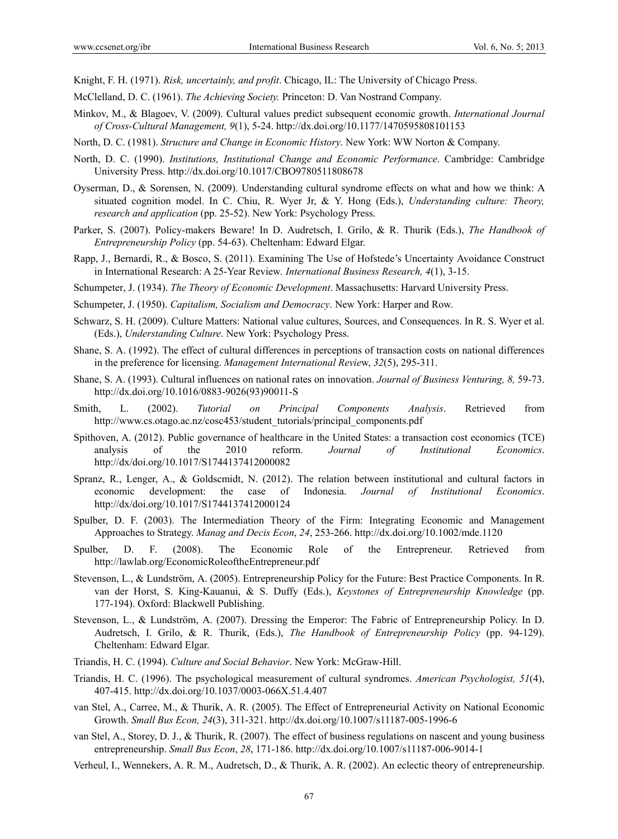Knight, F. H. (1971). *Risk, uncertainly, and profit*. Chicago, IL: The University of Chicago Press.

- McClelland, D. C. (1961). *The Achieving Society.* Princeton: D. Van Nostrand Company.
- Minkov, M., & Blagoev, V. (2009). Cultural values predict subsequent economic growth. *International Journal of Cross-Cultural Management, 9*(1), 5-24. http://dx.doi.org/10.1177/1470595808101153
- North, D. C. (1981). *Structure and Change in Economic History*. New York: WW Norton & Company.
- North, D. C. (1990). *Institutions, Institutional Change and Economic Performance*. Cambridge: Cambridge University Press. http://dx.doi.org/10.1017/CBO9780511808678
- Oyserman, D., & Sorensen, N. (2009). Understanding cultural syndrome effects on what and how we think: A situated cognition model. In C. Chiu, R. Wyer Jr, & Y. Hong (Eds.), *Understanding culture: Theory, research and application* (pp. 25-52). New York: Psychology Press.
- Parker, S. (2007). Policy-makers Beware! In D. Audretsch, I. Grilo, & R. Thurik (Eds.), *The Handbook of Entrepreneurship Policy* (pp. 54-63). Cheltenham: Edward Elgar.
- Rapp, J., Bernardi, R., & Bosco, S. (2011). Examining The Use of Hofstede's Uncertainty Avoidance Construct in International Research: A 25-Year Review*. International Business Research, 4*(1), 3-15.
- Schumpeter, J. (1934). *The Theory of Economic Development*. Massachusetts: Harvard University Press.
- Schumpeter, J. (1950). *Capitalism, Socialism and Democracy*. New York: Harper and Row.
- Schwarz, S. H. (2009). Culture Matters: National value cultures, Sources, and Consequences. In R. S. Wyer et al. (Eds.), *Understanding Culture*. New York: Psychology Press.
- Shane, S. A. (1992). The effect of cultural differences in perceptions of transaction costs on national differences in the preference for licensing. *Management International Revie*w, *32*(5), 295-311.
- Shane, S. A. (1993). Cultural influences on national rates on innovation. *Journal of Business Venturing, 8,* 59-73. http://dx.doi.org/10.1016/0883-9026(93)90011-S
- Smith, L. (2002). *Tutorial on Principal Components Analysis*. Retrieved from http://www.cs.otago.ac.nz/cosc453/student\_tutorials/principal\_components.pdf
- Spithoven, A. (2012). Public governance of healthcare in the United States: a transaction cost economics (TCE) analysis of the 2010 reform. *Journal of Institutional Economics*. http://dx/doi.org/10.1017/S1744137412000082
- Spranz, R., Lenger, A., & Goldscmidt, N. (2012). The relation between institutional and cultural factors in economic development: the case of Indonesia. *Journal of Institutional Economics*. http://dx/doi.org/10.1017/S1744137412000124
- Spulber, D. F. (2003). The Intermediation Theory of the Firm: Integrating Economic and Management Approaches to Strategy. *Manag and Decis Econ*, *24*, 253-266. http://dx.doi.org/10.1002/mde.1120
- Spulber, D. F. (2008). The Economic Role of the Entrepreneur. Retrieved from http://lawlab.org/EconomicRoleoftheEntrepreneur.pdf
- Stevenson, L., & Lundström, A. (2005). Entrepreneurship Policy for the Future: Best Practice Components. In R. van der Horst, S. King-Kauanui, & S. Duffy (Eds.), *Keystones of Entrepreneurship Knowledge* (pp. 177-194). Oxford: Blackwell Publishing.
- Stevenson, L., & Lundström, A. (2007). Dressing the Emperor: The Fabric of Entrepreneurship Policy. In D. Audretsch, I. Grilo, & R. Thurik, (Eds.), *The Handbook of Entrepreneurship Policy* (pp. 94-129). Cheltenham: Edward Elgar.
- Triandis, H. C. (1994). *Culture and Social Behavior*. New York: McGraw-Hill.
- Triandis, H. C. (1996). The psychological measurement of cultural syndromes. *American Psychologist, 51*(4), 407-415. http://dx.doi.org/10.1037/0003-066X.51.4.407
- van Stel, A., Carree, M., & Thurik, A. R. (2005). The Effect of Entrepreneurial Activity on National Economic Growth. *Small Bus Econ, 24*(3), 311-321. http://dx.doi.org/10.1007/s11187-005-1996-6
- van Stel, A., Storey, D. J., & Thurik, R. (2007). The effect of business regulations on nascent and young business entrepreneurship. *Small Bus Econ*, *28*, 171-186. http://dx.doi.org/10.1007/s11187-006-9014-1
- Verheul, I., Wennekers, A. R. M., Audretsch, D., & Thurik, A. R. (2002). An eclectic theory of entrepreneurship.